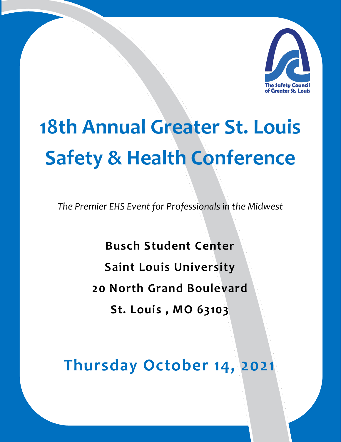

# **18th Annual Greater St. Louis Safety & Health Conference**

*The Premier EHS Event for Professionals in the Midwest*

**Busch Student Center Saint Louis University 20 North Grand Boulevard St. Louis , MO 63103**

**Thursday October 14, 2021**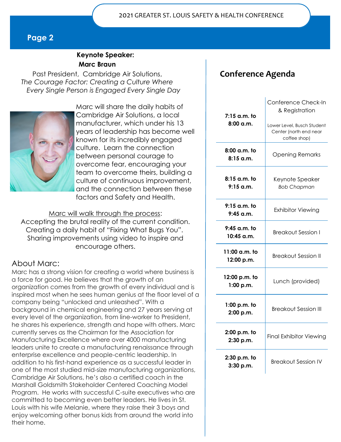#### **Keynote Speaker: Marc Braun**

Past President, Cambridge Air Solutions, *The Courage Factor: Creating a Culture Where Every Single Person is Engaged Every Single Day* 



Marc will share the daily habits of Cambridge Air Solutions, a local manufacturer, which under his 13 years of leadership has become well known for its incredibly engaged culture. Learn the connection between personal courage to overcome fear, encouraging your team to overcome theirs, building a culture of continuous improvement, and the connection between these factors and Safety and Health.

Marc will walk through the process: Accepting the brutal reality of the current condition. Creating a daily habit of "Fixing What Bugs You". Sharing improvements using video to inspire and encourage others.

#### About Marc:

Marc has a strong vision for creating a world where business is a force for good. He believes that the growth of an organization comes from the growth of every individual and is inspired most when he sees human genius at the floor level of a company being "unlocked and unleashed". With a background in chemical engineering and 27 years serving at every level of the organization, from line-worker to President, he shares his experience, strength and hope with others. Marc currently serves as the Chairman for the Association for Manufacturing Excellence where over 4000 manufacturing leaders unite to create a manufacturing renaissance through enterprise excellence and people-centric leadership. In addition to his first-hand experience as a successful leader in one of the most studied mid-size manufacturing organizations, Cambridge Air Solutions, he's also a certified coach in the Marshall Goldsmith Stakeholder Centered Coaching Model Program. He works with successful C-suite executives who are committed to becoming even better leaders. He lives in St. Louis with his wife Melanie, where they raise their 3 boys and enjoy welcoming other bonus kids from around the world into their home.

# **Conference Agenda**

| 7:15 a.m. to<br>$8:00$ a.m. | Conference Check-In<br>& Registration<br>Lower Level, Busch Student |
|-----------------------------|---------------------------------------------------------------------|
|                             | Center (north end near<br>coffee shop)                              |
| 8:00 a.m. to<br>8:15 a.m.   | <b>Opening Remarks</b>                                              |
| 8:15 a.m. to<br>$9:15$ a.m. | Keynote Speaker<br><b>Bob Chapman</b>                               |
| 9:15 a.m. to<br>$9:45$ a.m. | <b>Exhibitor Viewing</b>                                            |
| 9:45 a.m. to<br>10:45 a.m.  | <b>Breakout Session I</b>                                           |
| 11:00 a.m. to<br>12:00 p.m. | <b>Breakout Session II</b>                                          |
| 12:00 p.m. to<br>1:00 p.m.  | Lunch (provided)                                                    |
| $1:00$ p.m. to<br>2:00 p.m. | Breakout Session III                                                |
| 2:00 p.m. to<br>2:30 p.m.   | <b>Final Exhibitor Viewing</b>                                      |
| 2:30 p.m. to<br>3:30 p.m.   | <b>Breakout Session IV</b>                                          |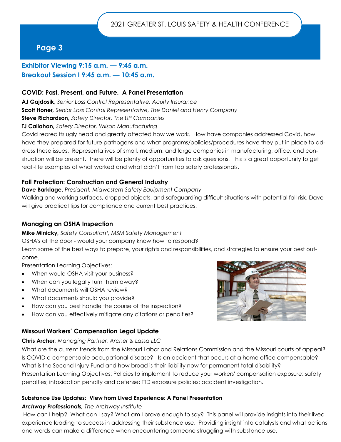### **Exhibitor Viewing 9:15 a.m. — 9:45 a.m. Breakout Session I 9:45 a.m. — 10:45 a.m.**

#### **COVID: Past, Present, and Future. A Panel Presentation**

**AJ Gajdosik,** *Senior Loss Control Representative, Acuity Insurance*

**Scott Honer***, Senior Loss Control Representative, The Daniel and Henry Company* 

**Steve Richardson,** *Safety Director, The UP Companies*

**TJ Callahan,** *Safety Director, Wilson Manufacturing*

Covid reared its ugly head and greatly affected how we work. How have companies addressed Covid, how have they prepared for future pathogens and what programs/policies/procedures have they put in place to address these issues. Representatives of small, medium, and large companies in manufacturing, office, and construction will be present. There will be plenty of opportunities to ask questions. This is a great opportunity to get real -life examples of what worked and what didn't from top safety professionals.

#### **Fall Protection: Construction and General Industry**

**Dave Barklage,** *President, Midwestern Safety Equipment Company* 

Walking and working surfaces, dropped objects, and safeguarding difficult situations with potential fall risk. Dave will give practical tips for compliance and current best practices.

#### **Managing an OSHA Inspection**

**Mike Minicky***, Safety Consultant, MSM Safety Management*

OSHA's at the door - would your company know how to respond?

Learn some of the best ways to prepare, your rights and responsibilities, and strategies to ensure your best outcome.

Presentation Learning Objectives:

- When would OSHA visit your business?
- When can you legally turn them away?
- What documents will OSHA review?
- What documents should you provide?
- How can you best handle the course of the inspection?
- How can you effectively mitigate any citations or penalties?

#### **Missouri Workers' Compensation Legal Update**

#### **Chris Archer***, Managing Partner, Archer & Lassa LLC*

What are the current trends from the Missouri Labor and Relations Commission and the Missouri courts of appeal? Is COVID a compensable occupational disease? Is an accident that occurs at a home office compensable? What is the Second Injury Fund and how broad is their liability now for permanent total disability? Presentation Learning Objectives: Policies to implement to reduce your workers' compensation exposure: safety penalties; intoxication penalty and defense; TTD exposure policies; accident investigation.

#### **Substance Use Updates: View from Lived Experience: A Panel Presentation**

#### *Archway Professionals, The Archway Institute*

How can I help? What can I say? What am I brave enough to say? This panel will provide insights into their lived experience leading to success in addressing their substance use. Providing insight into catalysts and what actions and words can make a difference when encountering someone struggling with substance use.

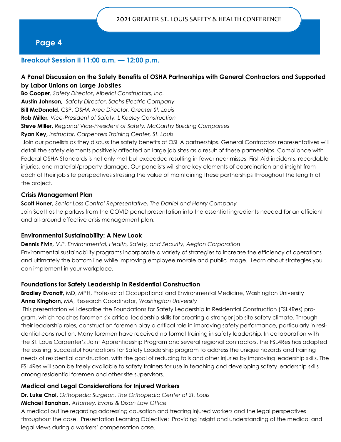#### **Breakout Session II 11:00 a.m. — 12:00 p.m.**

#### **A Panel Discussion on the Safety Benefits of OSHA Partnerships with General Contractors and Supported by Labor Unions on Large Jobsites**

**Bo Cooper***, Safety Director***,** *Alberici Constructors, Inc.* 

**Austin Johnson,** *Safety Director***,** *Sachs Electric Company* 

**Bill McDonald,** CSP, *OSHA Area Director, Greater St. Louis* 

**Rob Miller***, Vice-President of Safety, L Keeley Construction* 

**Steve Miller,** *Regional Vice-President of Safety, McCarthy Building Companies* 

**Ryan Key,** *Instructor, Carpenters Training Center, St. Louis* 

Join our panelists as they discuss the safety benefits of OSHA partnerships. General Contractors representatives will detail the safety elements positively affected on large job sites as a result of these partnerships. Compliance with Federal OSHA Standards is not only met but exceeded resulting in fewer near misses, First Aid incidents, recordable injuries, and material/property damage. Our panelists will share key elements of coordination and insight from each of their job site perspectives stressing the value of maintaining these partnerships throughout the length of the project.

#### **Crisis Management Plan**

**Scott Honer***, Senior Loss Control Representative, The Daniel and Henry Company*  Join Scott as he parlays from the COVID panel presentation into the essential ingredients needed for an efficient and all-around effective crisis management plan.

#### **Environmental Sustainability: A New Look**

**Dennis Pivin***, V.P. Environmental, Health, Safety, and Security, Aegion Corporation*  Environmental sustainability programs incorporate a variety of strategies to increase the efficiency of operations and ultimately the bottom line while improving employee morale and public image. Learn about strategies you can implement in your workplace.

#### **Foundations for Safety Leadership in Residential Construction**

**Bradley Evanoff,** MD, MPH, Professor of Occupational and Environmental Medicine, Washington University **Anna Kinghorn,** MA, Research Coordinator, *Washington University* 

This presentation will describe the Foundations for Safety Leadership in Residential Construction (FSL4Res) program, which teaches foremen six critical leadership skills for creating a stronger job site safety climate. Through their leadership roles, construction foremen play a critical role in improving safety performance, particularly in residential construction. Many foremen have received no formal training in safety leadership. In collaboration with the St. Louis Carpenter's Joint Apprenticeship Program and several regional contractors, the FSL4Res has adapted the existing, successful Foundations for Safety Leadership program to address the unique hazards and training needs of residential construction, with the goal of reducing falls and other injuries by improving leadership skills. The FSL4Res will soon be freely available to safety trainers for use in teaching and developing safety leadership skills among residential foremen and other site supervisors.

#### **Medical and Legal Considerations for Injured Workers**

**Dr. Luke Choi,** *Orthopedic Surgeon, The Orthopedic Center of St. Louis* 

**Michael Banahan,** *Attorney, Evans & Dixon Law Office* 

A medical outline regarding addressing causation and treating injured workers and the legal perspectives throughout the case. Presentation Learning Objective: Providing insight and understanding of the medical and legal views during a workers' compensation case.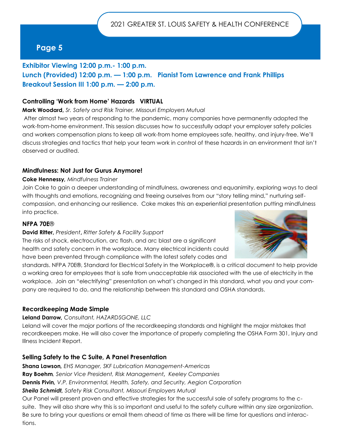## **Exhibitor Viewing 12:00 p.m.- 1:00 p.m. Lunch (Provided) 12:00 p.m. — 1:00 p.m. Pianist Tom Lawrence and Frank Phillips Breakout Session III 1:00 p.m. — 2:00 p.m.**

#### **Controlling 'Work from Home' Hazards VIRTUAL**

**Mark Woodard,** *Sr. Safety and Risk Trainer, Missouri Employers Mutual* 

After almost two years of responding to the pandemic, many companies have permanently adopted the work-from-home environment. This session discusses how to successfully adapt your employer safety policies and workers compensation plans to keep all work-from home employees safe, healthy, and injury-free. We'll discuss strategies and tactics that help your team work in control of these hazards in an environment that isn't observed or audited.

#### **Mindfulness: Not Just for Gurus Anymore!**

#### **Coke Hennessy***, Mindfulness Trainer*

Join Coke to gain a deeper understanding of mindfulness, awareness and equanimity, exploring ways to deal with thoughts and emotions, recognizing and freeing ourselves from our "story telling mind," nurturing selfcompassion, and enhancing our resilience. Coke makes this an experiential presentation putting mindfulness into practice.

#### **NFPA 70E**®

#### **David Ritter,** *President***,** *Ritter Safety & Facility Support*

The risks of shock, electrocution, arc flash, and arc blast are a significant health and safety concern in the workplace. Many electrical incidents could have been prevented through compliance with the latest safety codes and



standards. NFPA 70E®, Standard for Electrical Safety in the Workplace®, is a critical document to help provide a working area for employees that is safe from unacceptable risk associated with the use of electricity in the workplace. Join an "electrifying" presentation on what's changed in this standard, what you and your company are required to do, and the relationship between this standard and OSHA standards.

#### **Recordkeeping Made Simple**

#### **Leland Darrow***, Consultant, HAZARDSGONE, LLC*

Leland will cover the major portions of the recordkeeping standards and highlight the major mistakes that recordkeepers make. He will also cover the importance of properly completing the OSHA Form 301, Injury and Illness Incident Report.

#### **Selling Safety to the C Suite, A Panel Presentation**

**Shana Lawson***, EHS Manager, SKF Lubrication Management-Americas*  **Ray Boehm***, Senior Vice President, Risk Management, Keeley Companies*  **Dennis Pivin***, V.P. Environmental, Health, Safety, and Security, Aegion Corporation Sheila Schmidt, Safety Risk Consultant, Missouri Employers Mutual* 

Our Panel will present proven and effective strategies for the successful sale of safety programs to the csuite. They will also share why this is so important and useful to the safety culture within any size organization. Be sure to bring your questions or email them ahead of time as there will be time for questions and interactions.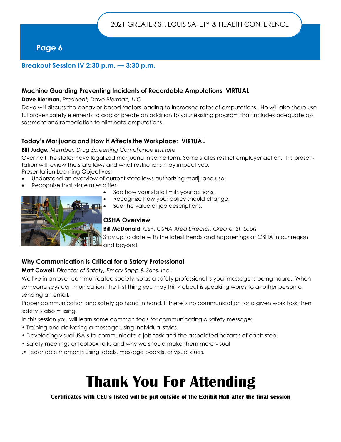#### **Breakout Session IV 2:30 p.m. — 3:30 p.m.**

#### **Machine Guarding Preventing Incidents of Recordable Amputations VIRTUAL**

**Dave Bierman,** *President, Dave Bierman, LLC* 

Dave will discuss the behavior-based factors leading to increased rates of amputations. He will also share useful proven safety elements to add or create an addition to your existing program that includes adequate assessment and remediation to eliminate amputations.

#### **Today's Marijuana and How it Affects the Workplace: VIRTUAL**

#### **Bill Judge***, Member, Drug Screening Compliance Institute*

Over half the states have legalized marijuana in some form. Some states restrict employer action. This presentation will review the state laws and what restrictions may impact you.

Presentation Learning Objectives:

- Understand an overview of current state laws authorizing marijuana use.
- Recognize that state rules differ.
	- See how your state limits your actions.
	- Recognize how your policy should change.
	- See the value of job descriptions.

#### **OSHA Overview**

**Bill McDonald,** CSP, *OSHA Area Director, Greater St. Louis*  Stay up to date with the latest trends and happenings at OSHA in our region and beyond.

#### **Why Communication is Critical for a Safety Professional**

**Matt Cowell***, Director of Safety, Emery Sapp & Sons, Inc.* 

We live in an over-communicated society, so as a safety professional is your message is being heard. When someone says communication, the first thing you may think about is speaking words to another person or sending an email.

Proper communication and safety go hand in hand. If there is no communication for a given work task then safety is also missing.

In this session you will learn some common tools for communicating a safety message:

- Training and delivering a message using individual styles.
- Developing visual JSA's to communicate a job task and the associated hazards of each step.
- Safety meetings or toolbox talks and why we should make them more visual
- .• Teachable moments using labels, message boards, or visual cues.

# **Thank You For Attending**

#### **Certificates with CEU's listed will be put outside of the Exhibit Hall after the final session**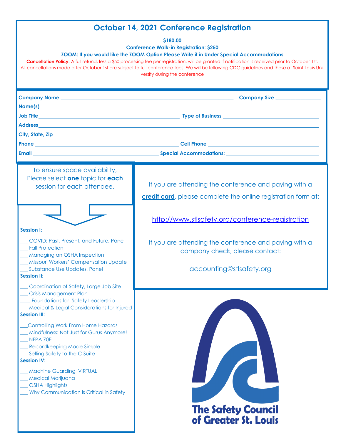# **October 14, 2021 Conference Registration**

**\$180.00**

**Conference Walk-in Registration: \$250**

**ZOOM: If you would like the ZOOM Option Please Write it in Under Special Accommodations** 

**Cancellation Policy:** A full refund, less a \$50 processing fee per registration, will be granted if notification is received prior to October 1st. All cancellations made after October 1st are subject to full conference fees. We will be following CDC guidelines and those of Saint Louis University during the conference

| Company Name <b>company of the contract of the contract of the contract of the contract of the contract of the contract of the contract of the contract of the contract of the contract of the contract of the contract of the c</b> | Company Size                                                                                                                   |
|--------------------------------------------------------------------------------------------------------------------------------------------------------------------------------------------------------------------------------------|--------------------------------------------------------------------------------------------------------------------------------|
| Name(s) and the contract of the contract of the contract of the contract of the contract of the contract of the contract of the contract of the contract of the contract of the contract of the contract of the contract of th       |                                                                                                                                |
|                                                                                                                                                                                                                                      |                                                                                                                                |
|                                                                                                                                                                                                                                      |                                                                                                                                |
|                                                                                                                                                                                                                                      |                                                                                                                                |
|                                                                                                                                                                                                                                      |                                                                                                                                |
|                                                                                                                                                                                                                                      |                                                                                                                                |
| To ensure space availability,<br>Please select one topic for each<br>session for each attendee.                                                                                                                                      | If you are attending the conference and paying with a<br><b>credit card</b> , please complete the online registration form at: |
| <b>Session I:</b>                                                                                                                                                                                                                    | http://www.stlsafety.org/conference-registration                                                                               |
| COVID: Past, Present, and Future, Panel<br><b>Fall Protection</b><br><b>Managing an OSHA Inspection</b><br>Missouri Workers' Compensation Update                                                                                     | If you are attending the conference and paying with a<br>company check, please contact:                                        |
| _Substance Use Updates, Panel<br><b>Session II:</b>                                                                                                                                                                                  | accounting@stlsafety.org                                                                                                       |
| Coordination of Safety, Large Job Site<br><b>Crisis Management Plan</b><br><b>Foundations for Safety Leadership</b><br><b>Medical &amp; Legal Considerations for Injured</b><br><b>Session III:</b>                                  |                                                                                                                                |
| Controlling Work From Home Hazards<br>Mindfulness: Not Just for Gurus Anymore!<br>NFPA 70E<br><b>Recordkeeping Made Simple</b><br>Selling Safety to the C Suite<br><b>Session IV:</b>                                                |                                                                                                                                |
| <b>Machine Guarding VIRTUAL</b><br>Medical Marijuana<br><b>OSHA Highlights</b><br>Why Communication is Critical in Safety                                                                                                            |                                                                                                                                |
|                                                                                                                                                                                                                                      | <b>The Safety Council</b><br>of Greater St. Louis                                                                              |